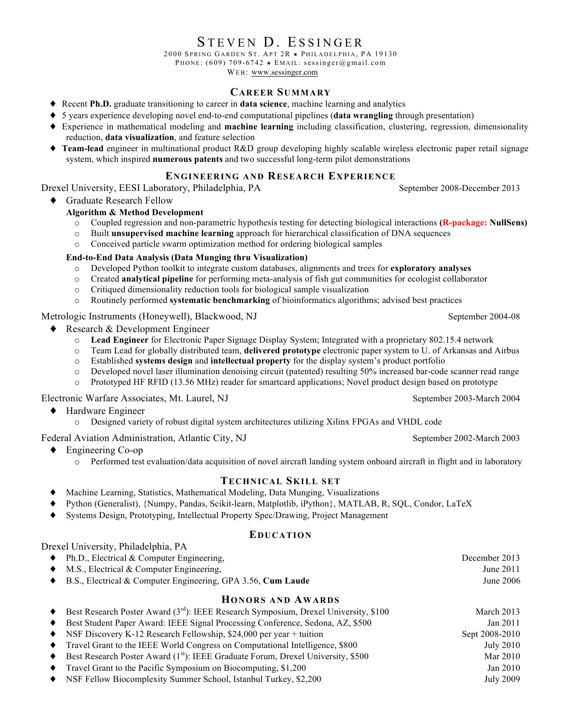# STEVEN D. ESSINGER

2000 SPRING GARDEN ST. APT  $2R \star$  PHILADELPHIA, PA 19130

PHONE: (609) 709-6742  $\star$  EMAIL: sessinger@gmail.com

WEB: www.sessinger.com

#### **CAREER SUMMARY**

- ♦ Recent **Ph.D.** graduate transitioning to career in **data science**, machine learning and analytics
- ♦ 5 years experience developing novel end-to-end computational pipelines (**data wrangling** through presentation)
- ♦ Experience in mathematical modeling and **machine learning** including classification, clustering, regression, dimensionality reduction, **data visualization**, and feature selection
- ♦ **Team-lead** engineer in multinational product R&D group developing highly scalable wireless electronic paper retail signage system, which inspired **numerous patents** and two successful long-term pilot demonstrations

# **ENGINEERING AND RESEARCH EXPERIENCE**

Drexel University, EESI Laboratory, Philadelphia, PA September 2008-December 2013

♦ Graduate Research Fellow

## **Algorithm & Method Development**

- o Coupled regression and non-parametric hypothesis testing for detecting biological interactions **(R-package: NullSens)**
- o Built **unsupervised machine learning** approach for hierarchical classification of DNA sequences
- o Conceived particle swarm optimization method for ordering biological samples

#### **End-to-End Data Analysis (Data Munging thru Visualization)**

- o Developed Python toolkit to integrate custom databases, alignments and trees for **exploratory analyses**
- o Created **analytical pipeline** for performing meta-analysis of fish gut communities for ecologist collaborator
- o Critiqued dimensionality reduction tools for biological sample visualization
- o Routinely performed **systematic benchmarking** of bioinformatics algorithms; advised best practices

# Metrologic Instruments (Honeywell), Blackwood, NJ September 2004-08

- Research  $&$  Development Engineer
	- o **Lead Engineer** for Electronic Paper Signage Display System; Integrated with a proprietary 802.15.4 network
	- o Team Lead for globally distributed team, **delivered prototype** electronic paper system to U. of Arkansas and Airbus
	- o Established **systems design** and **intellectual property** for the display system's product portfolio
	- o Developed novel laser illumination denoising circuit (patented) resulting 50% increased bar-code scanner read range
	- o Prototyped HF RFID (13.56 MHz) reader for smartcard applications; Novel product design based on prototype

#### Electronic Warfare Associates, Mt. Laurel, NJ September 2003-March 2004

- Hardware Engineer
	- o Designed variety of robust digital system architectures utilizing Xilinx FPGAs and VHDL code

Federal Aviation Administration, Atlantic City, NJ September 2002-March 2003

- ♦ Engineering Co-op
	- o Performed test evaluation/data acquisition of novel aircraft landing system onboard aircraft in flight and in laboratory

# **TECHNICAL SKILL SET**

- ♦ Machine Learning, Statistics, Mathematical Modeling, Data Munging, Visualizations
- Python (Generalist), {Numpy, Pandas, Scikit-learn, Matplotlib, iPython}, MATLAB, R, SQL, Condor, LaTeX
- Systems Design, Prototyping, Intellectual Property Spec/Drawing, Project Management

#### **EDUCATION**

| Drexel University, Philadelphia, PA                                    |               |
|------------------------------------------------------------------------|---------------|
| $\blacklozenge$ Ph.D., Electrical & Computer Engineering,              | December 2013 |
| $\bullet$ M.S., Electrical & Computer Engineering.                     | June 2011     |
| $\bullet$ B.S., Electrical & Computer Engineering, GPA 3.56, Cum Laude | June 2006     |

#### **HONORS AND AWARDS**

| $\bullet$ | Best Research Poster Award (3 <sup>rd</sup> ): IEEE Research Symposium, Drexel University, \$100             | March 2013     |
|-----------|--------------------------------------------------------------------------------------------------------------|----------------|
| $\bullet$ | Best Student Paper Award: IEEE Signal Processing Conference, Sedona, AZ, \$500                               | Jan 2011       |
|           | • NSF Discovery K-12 Research Fellowship, \$24,000 per year + tuition                                        | Sept 2008-2010 |
|           | • Travel Grant to the IEEE World Congress on Computational Intelligence, \$800                               | July 2010      |
|           | $\blacklozenge$ Best Research Poster Award (1 <sup>st</sup> ): IEEE Graduate Forum, Drexel University, \$500 | Mar 2010       |
|           | $\bullet$ Travel Grant to the Pacific Symposium on Biocomputing, \$1,200                                     | Jan 2010       |
|           | • NSF Fellow Biocomplexity Summer School, Istanbul Turkey, \$2,200                                           | July 2009      |